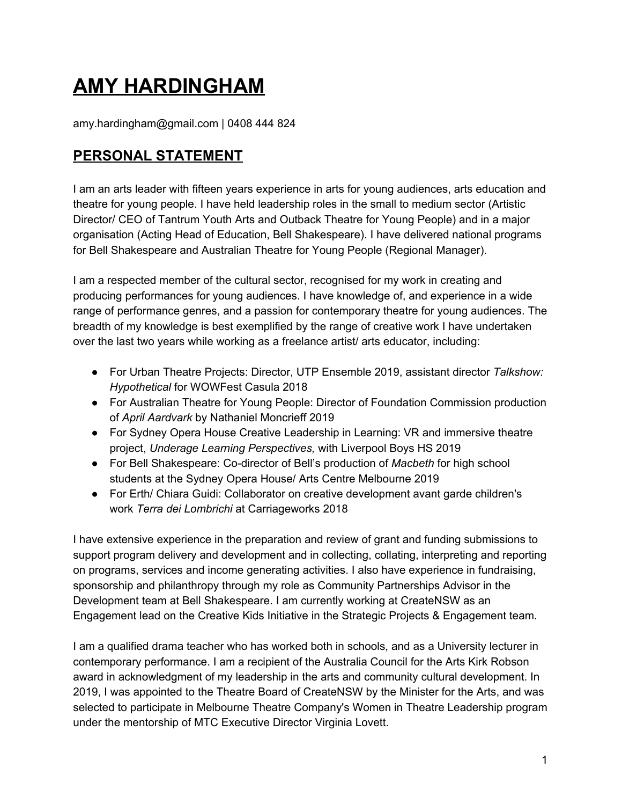# **AMY HARDINGHAM**

amy.hardingham@gmail.com | 0408 444 824

# **PERSONAL STATEMENT**

I am an arts leader with fifteen years experience in arts for young audiences, arts education and theatre for young people. I have held leadership roles in the small to medium sector (Artistic Director/ CEO of Tantrum Youth Arts and Outback Theatre for Young People) and in a major organisation (Acting Head of Education, Bell Shakespeare). I have delivered national programs for Bell Shakespeare and Australian Theatre for Young People (Regional Manager).

I am a respected member of the cultural sector, recognised for my work in creating and producing performances for young audiences. I have knowledge of, and experience in a wide range of performance genres, and a passion for contemporary theatre for young audiences. The breadth of my knowledge is best exemplified by the range of creative work I have undertaken over the last two years while working as a freelance artist/ arts educator, including:

- For Urban Theatre Projects: Director, UTP Ensemble 2019, assistant director *Talkshow: Hypothetical* for WOWFest Casula 2018
- For Australian Theatre for Young People: Director of Foundation Commission production of *April Aardvark* by Nathaniel Moncrieff 2019
- For Sydney Opera House Creative Leadership in Learning: VR and immersive theatre project, *Underage Learning Perspectives,* with Liverpool Boys HS 2019
- For Bell Shakespeare: Co-director of Bell's production of *Macbeth* for high school students at the Sydney Opera House/ Arts Centre Melbourne 2019
- For Erth/ Chiara Guidi: Collaborator on creative development avant garde children's work *Terra dei Lombrichi* at Carriageworks 2018

I have extensive experience in the preparation and review of grant and funding submissions to support program delivery and development and in collecting, collating, interpreting and reporting on programs, services and income generating activities. I also have experience in fundraising, sponsorship and philanthropy through my role as Community Partnerships Advisor in the Development team at Bell Shakespeare. I am currently working at CreateNSW as an Engagement lead on the Creative Kids Initiative in the Strategic Projects & Engagement team.

I am a qualified drama teacher who has worked both in schools, and as a University lecturer in contemporary performance. I am a recipient of the Australia Council for the Arts Kirk Robson award in acknowledgment of my leadership in the arts and community cultural development. In 2019, I was appointed to the Theatre Board of CreateNSW by the Minister for the Arts, and was selected to participate in Melbourne Theatre Company's Women in Theatre Leadership program under the mentorship of MTC Executive Director Virginia Lovett.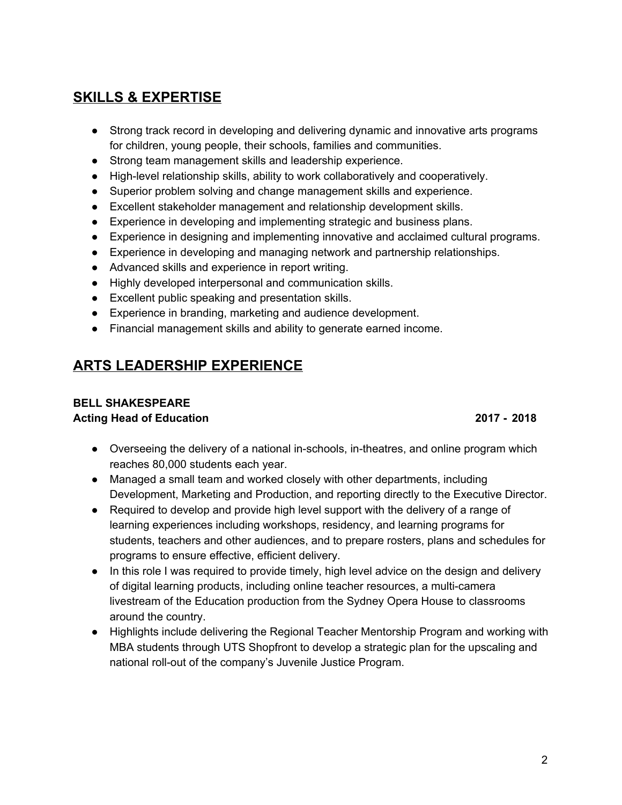# **SKILLS & EXPERTISE**

- Strong track record in developing and delivering dynamic and innovative arts programs for children, young people, their schools, families and communities.
- Strong team management skills and leadership experience.
- High-level relationship skills, ability to work collaboratively and cooperatively.
- Superior problem solving and change management skills and experience.
- Excellent stakeholder management and relationship development skills.
- Experience in developing and implementing strategic and business plans.
- Experience in designing and implementing innovative and acclaimed cultural programs.
- Experience in developing and managing network and partnership relationships.
- Advanced skills and experience in report writing.
- Highly developed interpersonal and communication skills.
- Excellent public speaking and presentation skills.
- Experience in branding, marketing and audience development.
- Financial management skills and ability to generate earned income.

# **ARTS LEADERSHIP EXPERIENCE**

# **BELL SHAKESPEARE**

**Acting Head of Education 2017 - 2018**

- Overseeing the delivery of a national in-schools, in-theatres, and online program which reaches 80,000 students each year.
- Managed a small team and worked closely with other departments, including Development, Marketing and Production, and reporting directly to the Executive Director.
- Required to develop and provide high level support with the delivery of a range of learning experiences including workshops, residency, and learning programs for students, teachers and other audiences, and to prepare rosters, plans and schedules for programs to ensure effective, efficient delivery.
- In this role I was required to provide timely, high level advice on the design and delivery of digital learning products, including online teacher resources, a multi-camera livestream of the Education production from the Sydney Opera House to classrooms around the country.
- Highlights include delivering the Regional Teacher Mentorship Program and working with MBA students through UTS Shopfront to develop a strategic plan for the upscaling and national roll-out of the company's Juvenile Justice Program.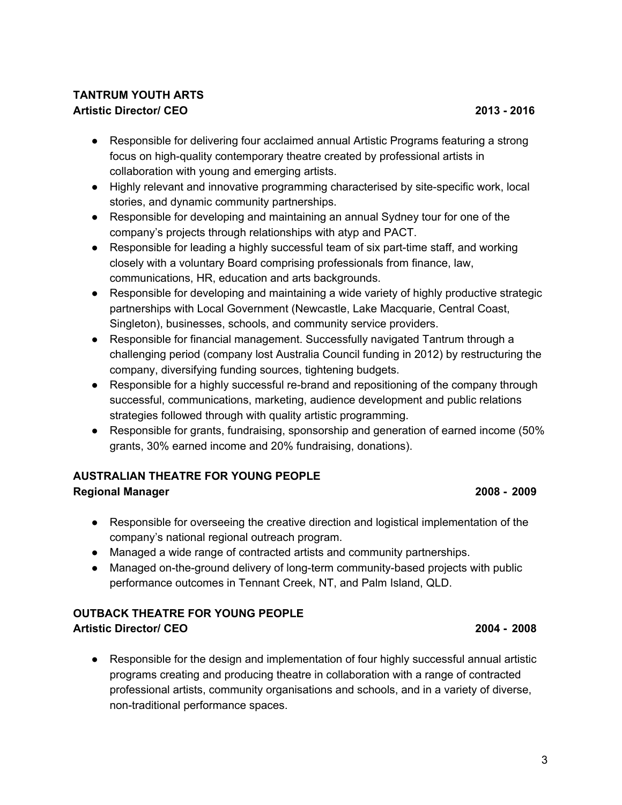#### **TANTRUM YOUTH ARTS Artistic Director/ CEO 2013 - 2016**

- Responsible for delivering four acclaimed annual Artistic Programs featuring a strong focus on high-quality contemporary theatre created by professional artists in collaboration with young and emerging artists.
- Highly relevant and innovative programming characterised by site-specific work, local stories, and dynamic community partnerships.
- Responsible for developing and maintaining an annual Sydney tour for one of the company's projects through relationships with atyp and PACT.
- Responsible for leading a highly successful team of six part-time staff, and working closely with a voluntary Board comprising professionals from finance, law, communications, HR, education and arts backgrounds.
- Responsible for developing and maintaining a wide variety of highly productive strategic partnerships with Local Government (Newcastle, Lake Macquarie, Central Coast, Singleton), businesses, schools, and community service providers.
- Responsible for financial management. Successfully navigated Tantrum through a challenging period (company lost Australia Council funding in 2012) by restructuring the company, diversifying funding sources, tightening budgets.
- Responsible for a highly successful re-brand and repositioning of the company through successful, communications, marketing, audience development and public relations strategies followed through with quality artistic programming.
- Responsible for grants, fundraising, sponsorship and generation of earned income (50% grants, 30% earned income and 20% fundraising, donations).

### **AUSTRALIAN THEATRE FOR YOUNG PEOPLE**

#### **Regional Manager 2008 - 2009**

- Responsible for overseeing the creative direction and logistical implementation of the company's national regional outreach program.
- Managed a wide range of contracted artists and community partnerships.
- Managed on-the-ground delivery of long-term community-based projects with public performance outcomes in Tennant Creek, NT, and Palm Island, QLD.

### **OUTBACK THEATRE FOR YOUNG PEOPLE**

#### **Artistic Director/ CEO 2004 - 2008**

● Responsible for the design and implementation of four highly successful annual artistic programs creating and producing theatre in collaboration with a range of contracted professional artists, community organisations and schools, and in a variety of diverse, non-traditional performance spaces.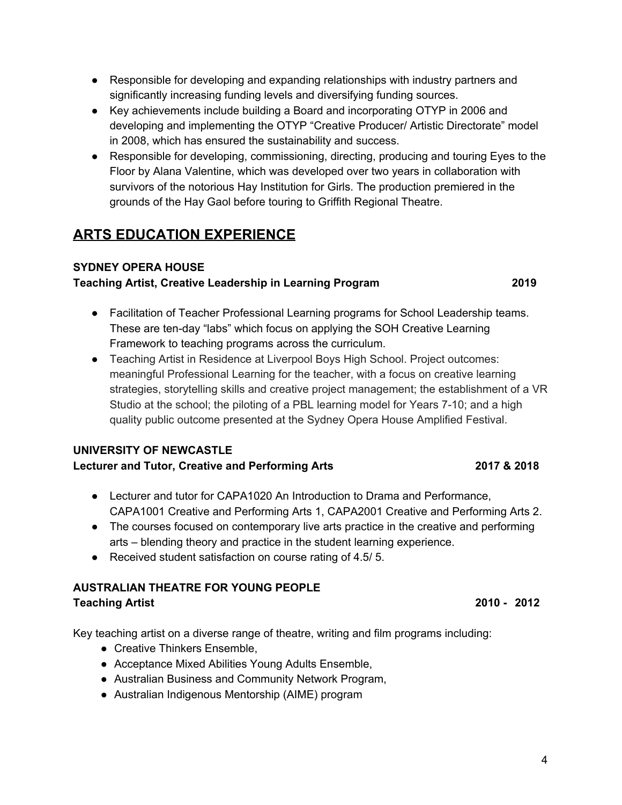### **SYDNEY OPERA HOUSE**

**ARTS EDUCATION EXPERIENCE**

### **Teaching Artist, Creative Leadership in Learning Program 2019**

- Facilitation of Teacher Professional Learning programs for School Leadership teams. These are ten-day "labs" which focus on applying the SOH Creative Learning Framework to teaching programs across the curriculum.
- Teaching Artist in Residence at Liverpool Boys High School. Project outcomes: meaningful Professional Learning for the teacher, with a focus on creative learning strategies, storytelling skills and creative project management; the establishment of a VR Studio at the school; the piloting of a PBL learning model for Years 7-10; and a high quality public outcome presented at the Sydney Opera House Amplified Festival.

### **UNIVERSITY OF NEWCASTLE**

### **Lecturer and Tutor, Creative and Performing Arts 2017 & 2018**

- Lecturer and tutor for CAPA1020 An Introduction to Drama and Performance, CAPA1001 Creative and Performing Arts 1, CAPA2001 Creative and Performing Arts 2.
- The courses focused on contemporary live arts practice in the creative and performing arts – blending theory and practice in the student learning experience.
- Received student satisfaction on course rating of 4.5/5.

#### **AUSTRALIAN THEATRE FOR YOUNG PEOPLE Teaching Artist 2010 - 2012**

Key teaching artist on a diverse range of theatre, writing and film programs including:

- Creative Thinkers Ensemble,
- Acceptance Mixed Abilities Young Adults Ensemble,
- Australian Business and Community Network Program,
- Australian Indigenous Mentorship (AIME) program
- Responsible for developing and expanding relationships with industry partners and significantly increasing funding levels and diversifying funding sources.
- Key achievements include building a Board and incorporating OTYP in 2006 and developing and implementing the OTYP "Creative Producer/ Artistic Directorate" model in 2008, which has ensured the sustainability and success.
- Responsible for developing, commissioning, directing, producing and touring Eyes to the Floor by Alana Valentine, which was developed over two years in collaboration with survivors of the notorious Hay Institution for Girls. The production premiered in the grounds of the Hay Gaol before touring to Griffith Regional Theatre.